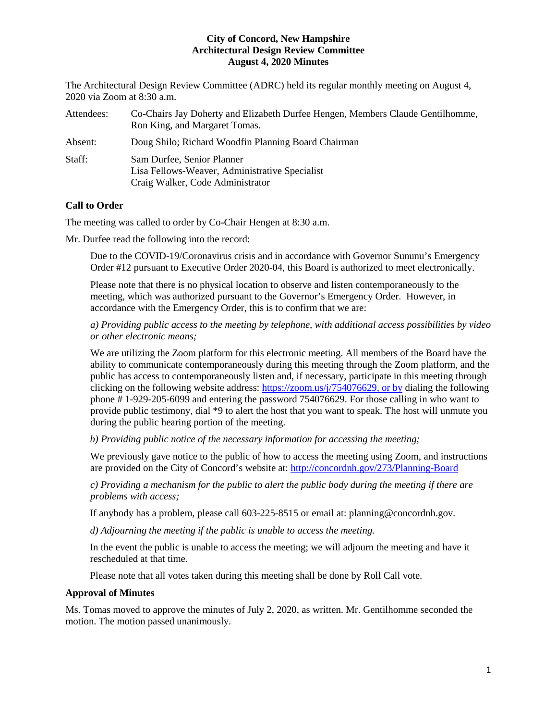The Architectural Design Review Committee (ADRC) held its regular monthly meeting on August 4, 2020 via Zoom at 8:30 a.m.

| Attendees: | Co-Chairs Jay Doherty and Elizabeth Durfee Hengen, Members Claude Gentilhomme,<br>Ron King, and Margaret Tomas.  |
|------------|------------------------------------------------------------------------------------------------------------------|
| Absent:    | Doug Shilo; Richard Woodfin Planning Board Chairman                                                              |
| Staff:     | Sam Durfee, Senior Planner<br>Lisa Fellows-Weaver, Administrative Specialist<br>Craig Walker, Code Administrator |

# **Call to Order**

The meeting was called to order by Co-Chair Hengen at 8:30 a.m.

Mr. Durfee read the following into the record:

Due to the COVID-19/Coronavirus crisis and in accordance with Governor Sununu's Emergency Order #12 pursuant to Executive Order 2020-04, this Board is authorized to meet electronically.

Please note that there is no physical location to observe and listen contemporaneously to the meeting, which was authorized pursuant to the Governor's Emergency Order. However, in accordance with the Emergency Order, this is to confirm that we are:

*a) Providing public access to the meeting by telephone, with additional access possibilities by video or other electronic means;* 

We are utilizing the Zoom platform for this electronic meeting. All members of the Board have the ability to communicate contemporaneously during this meeting through the Zoom platform, and the public has access to contemporaneously listen and, if necessary, participate in this meeting through clicking on the following website address: [https://zoom.us/j/754076629,](https://zoom.us/j/754076629) or by dialing the following phone # 1-929-205-6099 and entering the password 754076629. For those calling in who want to provide public testimony, dial \*9 to alert the host that you want to speak. The host will unmute you during the public hearing portion of the meeting.

*b) Providing public notice of the necessary information for accessing the meeting;*

We previously gave notice to the public of how to access the meeting using Zoom, and instructions are provided on the City of Concord's website at: <http://concordnh.gov/273/Planning-Board>

*c) Providing a mechanism for the public to alert the public body during the meeting if there are problems with access;* 

If anybody has a problem, please call 603-225-8515 or email at: planning@concordnh.gov.

*d) Adjourning the meeting if the public is unable to access the meeting.*

In the event the public is unable to access the meeting; we will adjourn the meeting and have it rescheduled at that time.

Please note that all votes taken during this meeting shall be done by Roll Call vote.

#### **Approval of Minutes**

Ms. Tomas moved to approve the minutes of July 2, 2020, as written. Mr. Gentilhomme seconded the motion. The motion passed unanimously.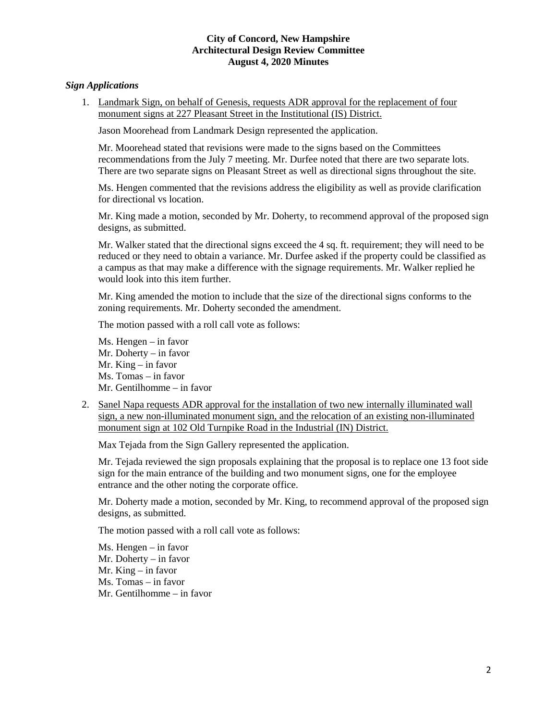## *Sign Applications*

1. Landmark Sign, on behalf of Genesis, requests ADR approval for the replacement of four monument signs at 227 Pleasant Street in the Institutional (IS) District.

Jason Moorehead from Landmark Design represented the application.

Mr. Moorehead stated that revisions were made to the signs based on the Committees recommendations from the July 7 meeting. Mr. Durfee noted that there are two separate lots. There are two separate signs on Pleasant Street as well as directional signs throughout the site.

Ms. Hengen commented that the revisions address the eligibility as well as provide clarification for directional vs location.

Mr. King made a motion, seconded by Mr. Doherty, to recommend approval of the proposed sign designs, as submitted.

Mr. Walker stated that the directional signs exceed the 4 sq. ft. requirement; they will need to be reduced or they need to obtain a variance. Mr. Durfee asked if the property could be classified as a campus as that may make a difference with the signage requirements. Mr. Walker replied he would look into this item further.

Mr. King amended the motion to include that the size of the directional signs conforms to the zoning requirements. Mr. Doherty seconded the amendment.

The motion passed with a roll call vote as follows:

- Ms. Hengen in favor Mr. Doherty – in favor Mr. King – in favor Ms. Tomas – in favor Mr. Gentilhomme – in favor
- 2. Sanel Napa requests ADR approval for the installation of two new internally illuminated wall sign, a new non-illuminated monument sign, and the relocation of an existing non-illuminated monument sign at 102 Old Turnpike Road in the Industrial (IN) District.

Max Tejada from the Sign Gallery represented the application.

Mr. Tejada reviewed the sign proposals explaining that the proposal is to replace one 13 foot side sign for the main entrance of the building and two monument signs, one for the employee entrance and the other noting the corporate office.

Mr. Doherty made a motion, seconded by Mr. King, to recommend approval of the proposed sign designs, as submitted.

The motion passed with a roll call vote as follows:

Ms. Hengen – in favor Mr. Doherty – in favor Mr. King – in favor Ms. Tomas – in favor Mr. Gentilhomme – in favor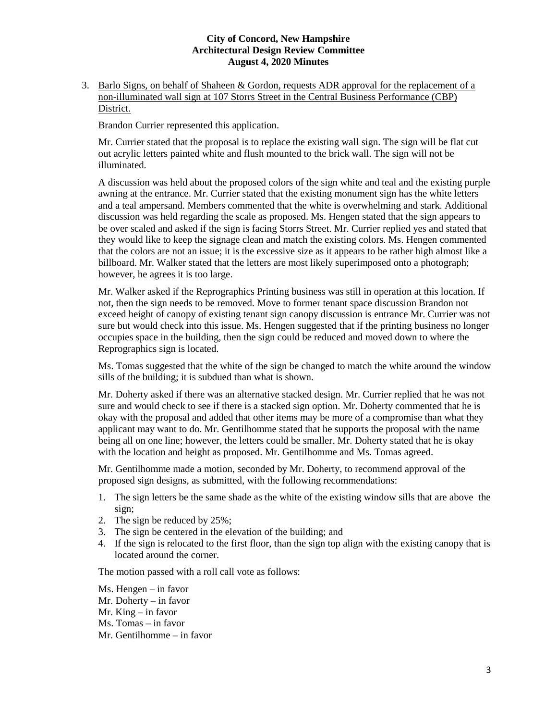3. Barlo Signs, on behalf of Shaheen & Gordon, requests ADR approval for the replacement of a non-illuminated wall sign at 107 Storrs Street in the Central Business Performance (CBP) District.

Brandon Currier represented this application.

Mr. Currier stated that the proposal is to replace the existing wall sign. The sign will be flat cut out acrylic letters painted white and flush mounted to the brick wall. The sign will not be illuminated.

A discussion was held about the proposed colors of the sign white and teal and the existing purple awning at the entrance. Mr. Currier stated that the existing monument sign has the white letters and a teal ampersand. Members commented that the white is overwhelming and stark. Additional discussion was held regarding the scale as proposed. Ms. Hengen stated that the sign appears to be over scaled and asked if the sign is facing Storrs Street. Mr. Currier replied yes and stated that they would like to keep the signage clean and match the existing colors. Ms. Hengen commented that the colors are not an issue; it is the excessive size as it appears to be rather high almost like a billboard. Mr. Walker stated that the letters are most likely superimposed onto a photograph; however, he agrees it is too large.

Mr. Walker asked if the Reprographics Printing business was still in operation at this location. If not, then the sign needs to be removed. Move to former tenant space discussion Brandon not exceed height of canopy of existing tenant sign canopy discussion is entrance Mr. Currier was not sure but would check into this issue. Ms. Hengen suggested that if the printing business no longer occupies space in the building, then the sign could be reduced and moved down to where the Reprographics sign is located.

Ms. Tomas suggested that the white of the sign be changed to match the white around the window sills of the building; it is subdued than what is shown.

Mr. Doherty asked if there was an alternative stacked design. Mr. Currier replied that he was not sure and would check to see if there is a stacked sign option. Mr. Doherty commented that he is okay with the proposal and added that other items may be more of a compromise than what they applicant may want to do. Mr. Gentilhomme stated that he supports the proposal with the name being all on one line; however, the letters could be smaller. Mr. Doherty stated that he is okay with the location and height as proposed. Mr. Gentilhomme and Ms. Tomas agreed.

Mr. Gentilhomme made a motion, seconded by Mr. Doherty, to recommend approval of the proposed sign designs, as submitted, with the following recommendations:

- 1. The sign letters be the same shade as the white of the existing window sills that are above the sign;
- 2. The sign be reduced by 25%;
- 3. The sign be centered in the elevation of the building; and
- 4. If the sign is relocated to the first floor, than the sign top align with the existing canopy that is located around the corner.

The motion passed with a roll call vote as follows:

Ms. Hengen – in favor Mr. Doherty – in favor Mr. King – in favor Ms. Tomas – in favor Mr. Gentilhomme – in favor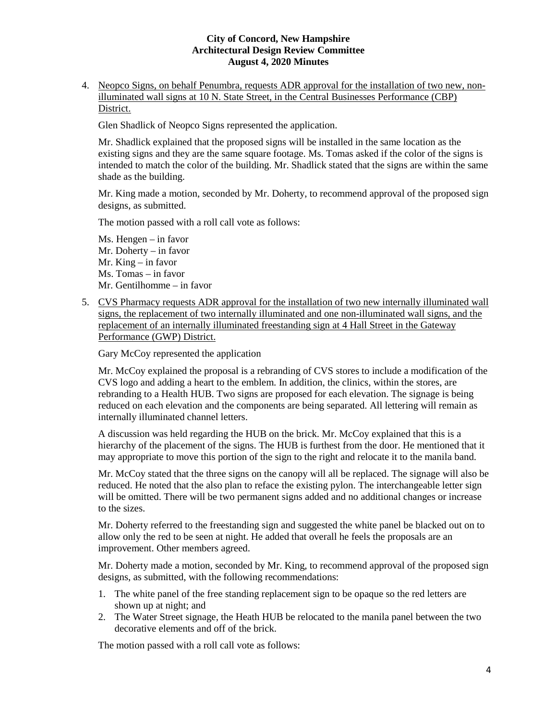4. Neopco Signs, on behalf Penumbra, requests ADR approval for the installation of two new, nonilluminated wall signs at 10 N. State Street, in the Central Businesses Performance (CBP) District.

Glen Shadlick of Neopco Signs represented the application.

Mr. Shadlick explained that the proposed signs will be installed in the same location as the existing signs and they are the same square footage. Ms. Tomas asked if the color of the signs is intended to match the color of the building. Mr. Shadlick stated that the signs are within the same shade as the building.

Mr. King made a motion, seconded by Mr. Doherty, to recommend approval of the proposed sign designs, as submitted.

The motion passed with a roll call vote as follows:

Ms. Hengen – in favor Mr. Doherty – in favor Mr. King – in favor Ms. Tomas – in favor Mr. Gentilhomme – in favor

5. CVS Pharmacy requests ADR approval for the installation of two new internally illuminated wall signs, the replacement of two internally illuminated and one non-illuminated wall signs, and the replacement of an internally illuminated freestanding sign at 4 Hall Street in the Gateway Performance (GWP) District.

Gary McCoy represented the application

Mr. McCoy explained the proposal is a rebranding of CVS stores to include a modification of the CVS logo and adding a heart to the emblem. In addition, the clinics, within the stores, are rebranding to a Health HUB. Two signs are proposed for each elevation. The signage is being reduced on each elevation and the components are being separated. All lettering will remain as internally illuminated channel letters.

A discussion was held regarding the HUB on the brick. Mr. McCoy explained that this is a hierarchy of the placement of the signs. The HUB is furthest from the door. He mentioned that it may appropriate to move this portion of the sign to the right and relocate it to the manila band.

Mr. McCoy stated that the three signs on the canopy will all be replaced. The signage will also be reduced. He noted that the also plan to reface the existing pylon. The interchangeable letter sign will be omitted. There will be two permanent signs added and no additional changes or increase to the sizes.

Mr. Doherty referred to the freestanding sign and suggested the white panel be blacked out on to allow only the red to be seen at night. He added that overall he feels the proposals are an improvement. Other members agreed.

Mr. Doherty made a motion, seconded by Mr. King, to recommend approval of the proposed sign designs, as submitted, with the following recommendations:

- 1. The white panel of the free standing replacement sign to be opaque so the red letters are shown up at night; and
- 2. The Water Street signage, the Heath HUB be relocated to the manila panel between the two decorative elements and off of the brick.

The motion passed with a roll call vote as follows: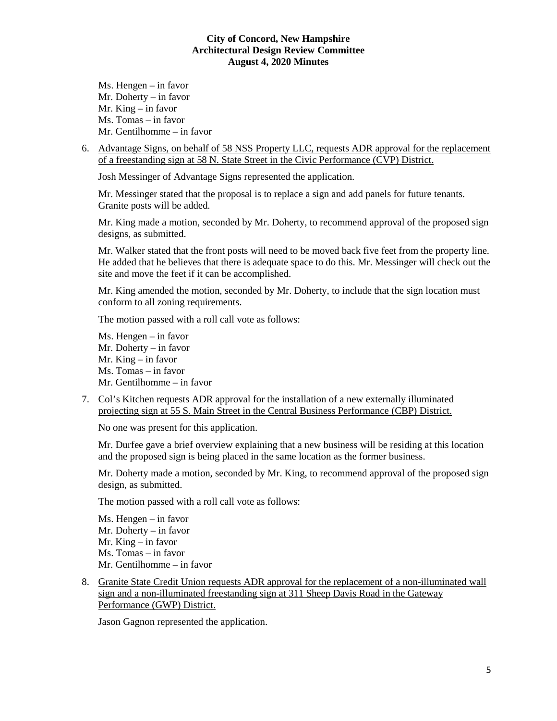Ms. Hengen – in favor Mr. Doherty – in favor Mr. King – in favor Ms. Tomas – in favor Mr. Gentilhomme – in favor

6. Advantage Signs, on behalf of 58 NSS Property LLC, requests ADR approval for the replacement of a freestanding sign at 58 N. State Street in the Civic Performance (CVP) District.

Josh Messinger of Advantage Signs represented the application.

Mr. Messinger stated that the proposal is to replace a sign and add panels for future tenants. Granite posts will be added.

Mr. King made a motion, seconded by Mr. Doherty, to recommend approval of the proposed sign designs, as submitted.

Mr. Walker stated that the front posts will need to be moved back five feet from the property line. He added that he believes that there is adequate space to do this. Mr. Messinger will check out the site and move the feet if it can be accomplished.

Mr. King amended the motion, seconded by Mr. Doherty, to include that the sign location must conform to all zoning requirements.

The motion passed with a roll call vote as follows:

Ms. Hengen – in favor Mr. Doherty – in favor Mr. King – in favor Ms. Tomas – in favor Mr. Gentilhomme – in favor

7. Col's Kitchen requests ADR approval for the installation of a new externally illuminated projecting sign at 55 S. Main Street in the Central Business Performance (CBP) District.

No one was present for this application.

Mr. Durfee gave a brief overview explaining that a new business will be residing at this location and the proposed sign is being placed in the same location as the former business.

Mr. Doherty made a motion, seconded by Mr. King, to recommend approval of the proposed sign design, as submitted.

The motion passed with a roll call vote as follows:

Ms. Hengen – in favor Mr. Doherty – in favor Mr. King – in favor Ms. Tomas – in favor Mr. Gentilhomme – in favor

8. Granite State Credit Union requests ADR approval for the replacement of a non-illuminated wall sign and a non-illuminated freestanding sign at 311 Sheep Davis Road in the Gateway Performance (GWP) District.

Jason Gagnon represented the application.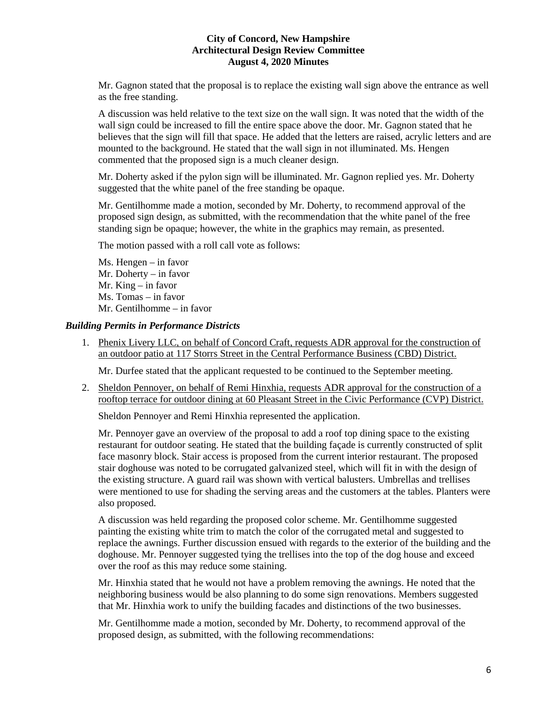Mr. Gagnon stated that the proposal is to replace the existing wall sign above the entrance as well as the free standing.

A discussion was held relative to the text size on the wall sign. It was noted that the width of the wall sign could be increased to fill the entire space above the door. Mr. Gagnon stated that he believes that the sign will fill that space. He added that the letters are raised, acrylic letters and are mounted to the background. He stated that the wall sign in not illuminated. Ms. Hengen commented that the proposed sign is a much cleaner design.

Mr. Doherty asked if the pylon sign will be illuminated. Mr. Gagnon replied yes. Mr. Doherty suggested that the white panel of the free standing be opaque.

Mr. Gentilhomme made a motion, seconded by Mr. Doherty, to recommend approval of the proposed sign design, as submitted, with the recommendation that the white panel of the free standing sign be opaque; however, the white in the graphics may remain, as presented.

The motion passed with a roll call vote as follows:

Ms. Hengen – in favor Mr. Doherty – in favor Mr. King – in favor Ms. Tomas – in favor Mr. Gentilhomme – in favor

## *Building Permits in Performance Districts*

1. Phenix Livery LLC, on behalf of Concord Craft, requests ADR approval for the construction of an outdoor patio at 117 Storrs Street in the Central Performance Business (CBD) District.

Mr. Durfee stated that the applicant requested to be continued to the September meeting.

2. Sheldon Pennoyer, on behalf of Remi Hinxhia, requests ADR approval for the construction of a rooftop terrace for outdoor dining at 60 Pleasant Street in the Civic Performance (CVP) District.

Sheldon Pennoyer and Remi Hinxhia represented the application.

Mr. Pennoyer gave an overview of the proposal to add a roof top dining space to the existing restaurant for outdoor seating. He stated that the building façade is currently constructed of split face masonry block. Stair access is proposed from the current interior restaurant. The proposed stair doghouse was noted to be corrugated galvanized steel, which will fit in with the design of the existing structure. A guard rail was shown with vertical balusters. Umbrellas and trellises were mentioned to use for shading the serving areas and the customers at the tables. Planters were also proposed.

A discussion was held regarding the proposed color scheme. Mr. Gentilhomme suggested painting the existing white trim to match the color of the corrugated metal and suggested to replace the awnings. Further discussion ensued with regards to the exterior of the building and the doghouse. Mr. Pennoyer suggested tying the trellises into the top of the dog house and exceed over the roof as this may reduce some staining.

Mr. Hinxhia stated that he would not have a problem removing the awnings. He noted that the neighboring business would be also planning to do some sign renovations. Members suggested that Mr. Hinxhia work to unify the building facades and distinctions of the two businesses.

Mr. Gentilhomme made a motion, seconded by Mr. Doherty, to recommend approval of the proposed design, as submitted, with the following recommendations: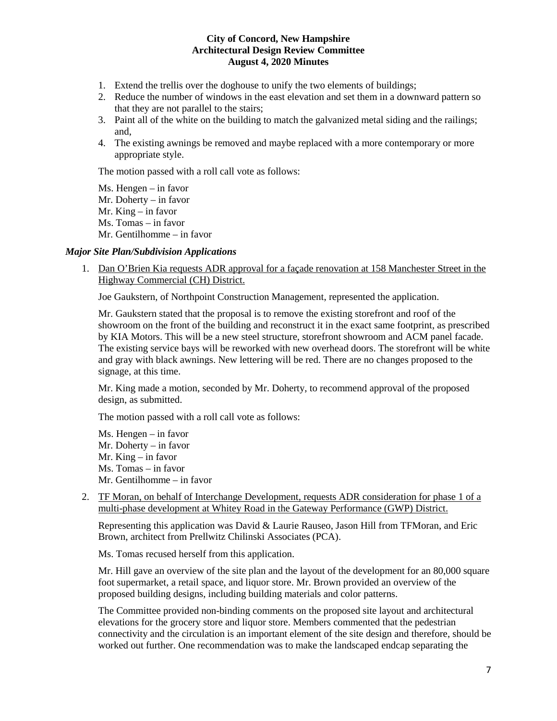- 1. Extend the trellis over the doghouse to unify the two elements of buildings;
- 2. Reduce the number of windows in the east elevation and set them in a downward pattern so that they are not parallel to the stairs;
- 3. Paint all of the white on the building to match the galvanized metal siding and the railings; and,
- 4. The existing awnings be removed and maybe replaced with a more contemporary or more appropriate style.

The motion passed with a roll call vote as follows:

Ms. Hengen – in favor Mr. Doherty – in favor Mr. King – in favor Ms. Tomas – in favor Mr. Gentilhomme – in favor

## *Major Site Plan/Subdivision Applications*

1. Dan O'Brien Kia requests ADR approval for a façade renovation at 158 Manchester Street in the Highway Commercial (CH) District.

Joe Gaukstern, of Northpoint Construction Management, represented the application.

Mr. Gaukstern stated that the proposal is to remove the existing storefront and roof of the showroom on the front of the building and reconstruct it in the exact same footprint, as prescribed by KIA Motors. This will be a new steel structure, storefront showroom and ACM panel facade. The existing service bays will be reworked with new overhead doors. The storefront will be white and gray with black awnings. New lettering will be red. There are no changes proposed to the signage, at this time.

Mr. King made a motion, seconded by Mr. Doherty, to recommend approval of the proposed design, as submitted.

The motion passed with a roll call vote as follows:

Ms. Hengen – in favor Mr. Doherty – in favor Mr. King – in favor Ms. Tomas – in favor Mr. Gentilhomme – in favor

2. TF Moran, on behalf of Interchange Development, requests ADR consideration for phase 1 of a multi-phase development at Whitey Road in the Gateway Performance (GWP) District.

Representing this application was David & Laurie Rauseo, Jason Hill from TFMoran, and Eric Brown, architect from Prellwitz Chilinski Associates (PCA).

Ms. Tomas recused herself from this application.

Mr. Hill gave an overview of the site plan and the layout of the development for an 80,000 square foot supermarket, a retail space, and liquor store. Mr. Brown provided an overview of the proposed building designs, including building materials and color patterns.

The Committee provided non-binding comments on the proposed site layout and architectural elevations for the grocery store and liquor store. Members commented that the pedestrian connectivity and the circulation is an important element of the site design and therefore, should be worked out further. One recommendation was to make the landscaped endcap separating the